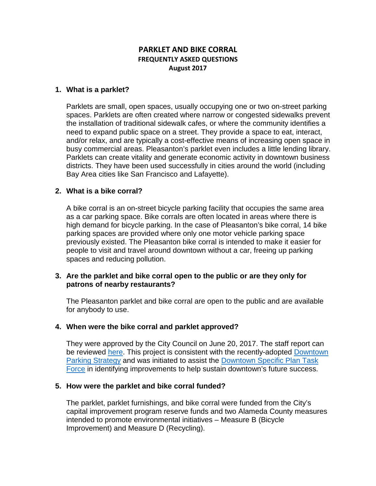# **PARKLET AND BIKE CORRAL FREQUENTLY ASKED QUESTIONS August 2017**

#### **1. What is a parklet?**

Parklets are small, open spaces, usually occupying one or two on-street parking spaces. Parklets are often created where narrow or congested sidewalks prevent the installation of traditional sidewalk cafes, or where the community identifies a need to expand public space on a street. They provide a space to eat, interact, and/or relax, and are typically a cost-effective means of increasing open space in busy commercial areas. Pleasanton's parklet even includes a little lending library. Parklets can create vitality and generate economic activity in downtown business districts. They have been used successfully in cities around the world (including Bay Area cities like San Francisco and Lafayette).

### **2. What is a bike corral?**

A bike corral is an on-street bicycle parking facility that occupies the same area as a car parking space. Bike corrals are often located in areas where there is high demand for bicycle parking. In the case of Pleasanton's bike corral, 14 bike parking spaces are provided where only one motor vehicle parking space previously existed. The Pleasanton bike corral is intended to make it easier for people to visit and travel around downtown without a car, freeing up parking spaces and reducing pollution.

### **3. Are the parklet and bike corral open to the public or are they only for patrons of nearby restaurants?**

The Pleasanton parklet and bike corral are open to the public and are available for anybody to use.

## **4. When were the bike corral and parklet approved?**

They were approved by the City Council on June 20, 2017. The staff report can be reviewed [here.](http://weblink.cityofpleasantonca.gov/WebLink8/DocView.aspx?id=270191&dbid=0) This project is consistent with the recently-adopted Downtown [Parking Strategy](http://www.cityofpleasantonca.gov/civicax/filebank/blobdload.aspx?BlobID=30495) and was initiated to assist the [Downtown Specific Plan Task](https://ptowndtown.org/)  [Force](https://ptowndtown.org/) in identifying improvements to help sustain downtown's future success.

#### **5. How were the parklet and bike corral funded?**

The parklet, parklet furnishings, and bike corral were funded from the City's capital improvement program reserve funds and two Alameda County measures intended to promote environmental initiatives – Measure B (Bicycle Improvement) and Measure D (Recycling).